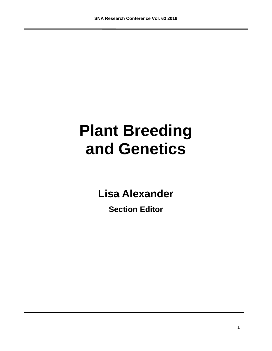# **Plant Breeding and Genetics**

**Lisa Alexander**

**Section Editor**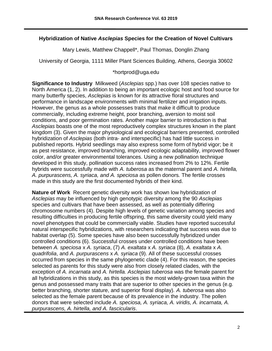## **Hybridization of Native** *Asclepias* **Species for the Creation of Novel Cultivars**

Mary Lewis, Matthew Chappell\*, Paul Thomas, Donglin Zhang

University of Georgia, 1111 Miller Plant Sciences Building, Athens, Georgia 30602

#### \*hortprod@uga.edu

**Significance to Industry** Milkweed (*Asclepias* spp.) has over 108 species native to North America (1, 2). In addition to being an important ecologic host and food source for many butterfly species, *Asclepias* is known for its attractive floral structures and performance in landscape environments with minimal fertilizer and irrigation inputs. However, the genus as a whole possesses traits that make it difficult to produce commercially, including extreme height, poor branching, aversion to moist soil conditions, and poor germination rates. Another major barrier to introduction is that *Asclepias* boasts one of the most reproductively complex structures known in the plant kingdom (3). Given the major physiological and ecological barriers presented, controlled hybridization of *Asclepias* (both intra- and interspecific) has had little success in published reports. Hybrid seedlings may also express some form of hybrid vigor; be it as pest resistance, improved branching, improved ecologic adaptability, improved flower color, and/or greater environmental tolerances. Using a new pollination technique developed in this study, pollination success rates increased from 2% to 12%. Fertile hybrids were successfully made with *A. tuberosa* as the maternal parent and *A. hirtella, A. purpurascens, A. syriaca, and A. speciosa* as pollen donors*.* The fertile crosses made in this study are the first documented hybrids of their kind.

**Nature of Work** Recent genetic diversity work has shown low hybridization of *Asclepias* may be influenced by high genotypic diversity among the 90 *Asclepias* species and cultivars that have been assessed, as well as potentially differing chromosome numbers (4). Despite high levels of genetic variation among species and resulting difficulties in producing fertile offspring, this same diversity could yield many novel phenotypes that could be commercially viable. Studies have reported successful natural interspecific hybridizations, with researchers indicating that success was due to habitat overlap (5). Some species have also been successfully hybridized under controlled conditions (6). Successful crosses under controlled conditions have been between *A. speciosa* x *A. syriaca*, (7) *A. exaltata* x *A. syriaca* (8), *A. exaltata* x *A. quadrifolia*, and *A. purpurascens* x *A. syriaca* (9). All of these successful crosses occurred from species in the same phylogenetic clade (4). For this reason, the species selected as parents for this study were also from closely related clades, with the exception of *A. incarnata* and *A. hirtella. Asclepias tuberosa* was the female parent for all hybridizations in this study, as this species is the most widely-grown taxa within the genus and possessed many traits that are superior to other species in the genus (e.g. better branching, shorter stature, and superior floral display)*. A. tuberosa* was also selected as the female parent because of its prevalence in the industry. The pollen donors that were selected include *A. speciosa, A. syriaca, A. viridis, A. incarnata, A. purpurascens, A. hirtella, and A. fascicularis*.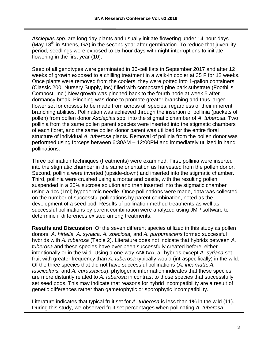*Asclepias spp*. are long day plants and usually initiate flowering under 14-hour days (May  $18<sup>th</sup>$  in Athens, GA) in the second year after germination. To reduce that juvenility period, seedlings were exposed to 15-hour days with night interruptions to initiate flowering in the first year (10).

Seed of all genotypes were germinated in 36-cell flats in September 2017 and after 12 weeks of growth exposed to a chilling treatment in a walk-in cooler at 35 F for 12 weeks. Once plants were removed from the coolers, they were potted into 1-gallon containers (Classic 200, Nursery Supply, Inc) filled with composted pine bark substrate (Foothills Compost, Inc.) New growth was pinched back to the fourth node at week 5 after dormancy break. Pinching was done to promote greater branching and thus larger flower set for crosses to be made from across all species, regardless of their inherent branching abilities. Pollination was achieved through the insertion of pollinia (packets of pollen) from pollen donor *Asclepias* spp. into the stigmatic chamber of *A. tuberosa*. Two pollinia from the same pollen parent species were inserted into the stigmatic chambers of each floret, and the same pollen donor parent was utilized for the entire floral structure of individual *A. tuberosa* plants. Removal of pollinia from the pollen donor was performed using forceps between 6:30AM – 12:00PM and immediately utilized in hand pollinations.

Three pollination techniques (treatments) were examined. First, pollinia were inserted into the stigmatic chamber in the same orientation as harvested from the pollen donor. Second, pollinia were inverted (upside-down) and inserted into the stigmatic chamber. Third, pollinia were crushed using a mortar and pestle, with the resulting pollen suspended in a 30% sucrose solution and then inserted into the stigmatic chamber using a 1cc (1ml) hypodermic needle. Once pollinations were made, data was collected on the number of successful pollinations by parent combination, noted as the development of a seed pod. Results of pollination method treatments as well as successful pollinations by parent combination were analyzed using JMP software to determine if differences existed among treatments.

**Results and Discussion** Of the seven different species utilized in this study as pollen donors, *A. hirtella, A. syriaca, A. speciosa,* and *A. purpurascens* formed successful hybrids with *A. tuberosa* (Table 2). Literature does not indicate that hybrids between *A. tuberosa* and these species have ever been successfully created before, either intentionally or in the wild. Using a one-way ANOVA, all hybrids except *A. syriaca* set fruit with greater frequency than *A. tuberosa* typically would (intraspecifically) in the wild. Of the three species that did not have successful pollinations (*A. incarnata, A. fascicularis,* and *A. curassavica*), phylogenic information indicates that these species are more distantly related to *A. tuberosa* in contrast to those species that successfully set seed pods. This may indicate that reasons for hybrid incompatibility are a result of genetic differences rather than gametophytic or sporophytic incompatibility.

Literature indicates that typical fruit set for *A. tuberosa* is less than 1% in the wild (11). During this study, we observed fruit set percentages when pollinating *A. tuberosa*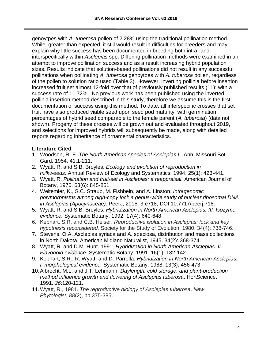genoytpes with *A. tuberosa* pollen of 2.28% using the traditional pollination method. While greater than expected, it still would result in difficulties for breeders and may explain why little success has been documented in breeding both intra- and interspecifically within *Asclepias* spp. Differing pollination methods were examined in an attempt to improve pollination success and as a result increasing hybrid population sizes. Results indicate that solution-based pollinations did not result in any successful pollinations when pollinating *A. tuberosa* genoytpes with *A. tuberosa* pollen, regardless of the pollen to solution ratio used (Table 3). However, inverting pollinia before insertion increased fruit set almost 12-fold over that of previously published results (11); with a success rate of 11.72%. No previous work has been published using the inverted pollinia insertion method described in this study, therefore we assume this is the first documentation of success using this method. To date, all interspecific crosses that set fruit have also produced viable seed upon seed pod maturity, with germination percentages of hybrid seed comparable to the female parent (*A. tuberosa*) (data not shown). Progeny of these crosses will be grown out and evaluated throughout 2019, and selections for improved hybrids will subsequently be made, along with detailed reports regarding inheritance of ornamental characteristics.

- 1. Woodson, R. E. *The North American species of Asclepias L.* Ann. Missouri Bot. Gard. 1954. 41:1-211.
- 2. Wyatt, R. and S.B. Broyles. *Ecology and evolution of reproduction in milkweeds.* Annual Review of Ecology and Systematics, 1994. 25(1): 423-441.
- 3. Wyatt, R. *Pollination and fruit-set in Asclepias: a reappraisal.* American Journal of Botany, 1976. 63(6): 845-851.
- 4. Weitemier, K., S.C. Straub, M. Fishbein, and A. Linston. *Intragenomic polymorphisms among high-copy loci: a genus-wide study of nuclear ribosomal DNA in Asclepias (Apocynaceae)*. PeerJ, 2015. 3:e718; DOI 10.7717/peerj.718.
- 5. Wyatt, R. and S.B. Broyles. *Hybridization in North American Asclepias. III. Isozyme evidence.* Systematic Botany, 1992. 17(4): 640-648.
- 6. Kephart, S.R. and C.B. Heiser. *Reproductive isolation in Asclepias: lock and key hypothesis reconsidered.* Society for the Study of Evolution, 1980. 34(4): 738-746.
- 7. Stevens, O.A. Asclepias syriaca and A. speciosa, distribution and mass collections in North Dakota. American Midland Naturalist, 1945. 34(2): 368-374.
- 8. Wyatt, R. and D.M. Hunt. 1991. *Hybridization in North American Asclepias. II. Flavonoid evidence.* Systematic Botany, 1991. 16(1): 132-142
- 9. Kephart, S.R., R. Wyatt, and D. Parrella. *Hybridization in North American Asclepias. I. morphological evidence.* Systematic Botany, 1988. 13(3): 456-473.
- 10.Albrecht, M.L. and J.T. Lehmann. *Daylength, cold storage, and plant-production method influence growth and flowering of Asclepias tuberosa*. HortScience, 1991. *26*:120-121.
- 11.Wyatt, R., 1981. *The reproductive biology of Asclepias tuberosa*. *New Phytologist*, *88*(2), pp.375-385.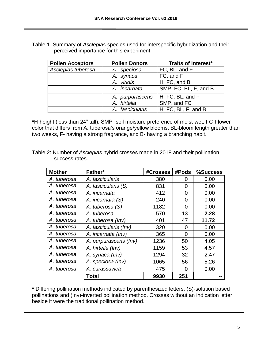| Table 1. Summary of Asclepias species used for interspecific hybridization and their |                                           |  |  |
|--------------------------------------------------------------------------------------|-------------------------------------------|--|--|
|                                                                                      | perceived importance for this experiment. |  |  |

| <b>Pollen Acceptors</b> | <b>Pollen Donors</b> | Traits of Interest*   |
|-------------------------|----------------------|-----------------------|
| Asclepias tuberosa      | A. speciosa          | FC, BL, and F         |
|                         | A. syriaca           | FC, and F             |
|                         | A. viridis           | H, FC, and B          |
|                         | A. incarnata         | SMP, FC, BL, F, and B |
|                         | A. purpurascens      | H, FC, BL, and F      |
|                         | A. hirtella          | SMP, and FC           |
|                         | A. fascicularis      | H, FC, BL, F, and B   |

**\***H-height (less than 24" tall), SMP- soil moisture preference of moist-wet, FC-Flower color that differs from A. tuberosa's orange/yellow blooms, BL-bloom length greater than two weeks, F- having a strong fragrance, and B- having a branching habit.

Table 2: Number of *Asclepias* hybrid crosses made in 2018 and their pollination success rates.

| <b>Mother</b> | Father*               | #Crosses | #Pods | %Success |
|---------------|-----------------------|----------|-------|----------|
| A. tuberosa   | A. fascicularis       | 380      | Ω     | 0.00     |
| A. tuberosa   | A. fascicularis (S)   | 831      | 0     | 0.00     |
| A. tuberosa   | A. incarnata          | 412      | 0     | 0.00     |
| A. tuberosa   | A. incarnata (S)      | 240      | 0     | 0.00     |
| A. tuberosa   | A. tuberosa (S)       | 1182     | 0     | 0.00     |
| A. tuberosa   | A. tuberosa           | 570      | 13    | 2.28     |
| A. tuberosa   | A. tuberosa (Inv)     | 401      | 47    | 11.72    |
| A. tuberosa   | A. fascicularis (Inv) | 320      | 0     | 0.00     |
| A. tuberosa   | A. incarnata (Inv)    | 365      | 0     | 0.00     |
| A. tuberosa   | A. purpurascens (Inv) | 1236     | 50    | 4.05     |
| A. tuberosa   | A. hirtella (Inv)     | 1159     | 53    | 4.57     |
| A. tuberosa   | A. syriaca (Inv)      | 1294     | 32    | 2.47     |
| A. tuberosa   | A. speciosa (Inv)     | 1065     | 56    | 5.26     |
| A. tuberosa   | A. curassavica        | 475      | 0     | 0.00     |
|               | Total                 | 9930     | 251   |          |

**\*** Differing pollination methods indicated by parenthesized letters. (S)-solution based pollinations and (Inv)-inverted pollination method. Crosses without an indication letter beside it were the traditional pollination method.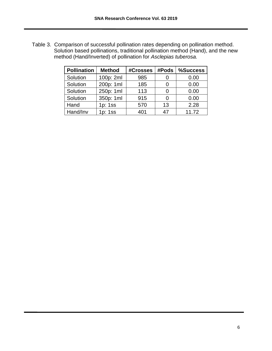Table 3. Comparison of successful pollination rates depending on pollination method. Solution based pollinations, traditional pollination method (Hand), and the new method (Hand/Inverted) of pollination for *Asclepias tuberosa.*

| <b>Pollination</b> | <b>Method</b> | #Crosses | #Pods | %Success |
|--------------------|---------------|----------|-------|----------|
| Solution           | 100p: 2ml     | 985      |       | 0.00     |
| Solution           | 200p: 1ml     | 185      |       | 0.00     |
| Solution           | 250p: 1ml     | 113      |       | 0.00     |
| Solution           | 350p: 1ml     | 915      |       | 0.00     |
| Hand               | 1p: 1ss       | 570      | 13    | 2.28     |
| Hand/Inv           | 1p: 1ss       | 401      | 47    | 11.72    |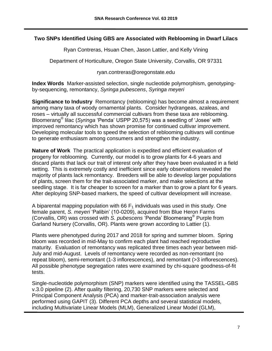#### **Two SNPs Identified Using GBS are Associated with Reblooming in Dwarf Lilacs**

Ryan Contreras, Hsuan Chen, Jason Lattier, and Kelly Vining

Department of Horticulture, Oregon State University, Corvallis, OR 97331

ryan.contreras@oregonstate.edu

**Index Words** Marker-assisted selection, single nucleotide polymorphism, genotypingby-sequencing, remontancy, *Syringa pubescens*, *Syringa meyeri*

**Significance to Industry** Remontancy (reblooming) has become almost a requirement among many taxa of woody ornamental plants. Consider hydrangeas, azaleas, and roses – virtually all successful commercial cultivars from these taxa are reblooming. Bloomerang® lilac (*Syringa* 'Penda' USPP 20,575) was a seedling of 'Josee' with improved remontancy which has shown promise for continued cultivar improvement. Developing molecular tools to speed the selection of reblooming cultivars will continue to generate enthusiasm among consumers and strengthen the industry.

**Nature of Work** The practical application is expedited and efficient evaluation of progeny for reblooming. Currently, our model is to grow plants for 4-6 years and discard plants that lack our trait of interest only after they have been evaluated in a field setting. This is extremely costly and inefficient since early observations revealed the majority of plants lack remontancy. Breeders will be able to develop larger populations of plants, screen them for the trait-associated marker, and make selections at the seedling stage. It is far cheaper to screen for a marker than to grow a plant for 6 years. After deploying SNP-based markers, the speed of cultivar development will increase.

A biparental mapping population with 66  $F_1$  individuals was used in this study. One female parent, *S. meyeri* 'Palibin' (10-0209), acquired from Blue Heron Farms (Corvallis, OR) was crossed with *S. pubescens* 'Penda' Bloomerang® Purple from Garland Nursery (Corvallis, OR). Plants were grown according to Lattier (1).

Plants were phenotyped during 2017 and 2018 for spring and summer bloom. Spring bloom was recorded in mid-May to confirm each plant had reached reproductive maturity. Evaluation of remontancy was replicated three times each year between mid-July and mid-August. Levels of remontancy were recorded as non-remontant (no repeat bloom), semi-remontant (1-3 inflorescences), and remontant (>3 inflorescences). All possible phenotype segregation rates were examined by chi-square goodness-of-fit tests.

Single-nucleotide polymorphism (SNP) markers were identified using the TASSEL-GBS v.3.0 pipeline (2). After quality filtering, 20,730 SNP markers were selected and Principal Component Analysis (PCA) and marker-trait-association analysis were performed using GAPIT (3). Different PCA depths and several statistical models, including Multivariate Linear Models (MLM), Generalized Linear Model (GLM),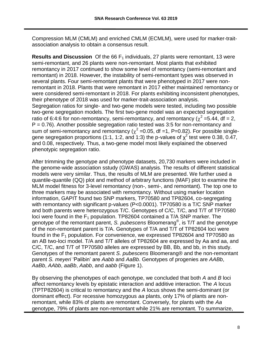Compression MLM (CMLM) and enriched CMLM (ECMLM), were used for marker-traitassociation analysis to obtain a consensus result.

**Results and Discussion** Of the 66 F<sub>1</sub> individuals, 27 plants were remontant, 13 were semi-remontant, and 26 plants were non-remontant. Most plants that exhibited remontancy in 2017 continued to show some level of remontancy (semi-remontant and remontant) in 2018. However, the instability of semi-remontant types was observed in several plants. Four semi-remontant plants that were phenotyped in 2017 were nonremontant in 2018. Plants that were remontant in 2017 either maintained remontancy or were considered semi-remontant in 2018. For plants exhibiting inconsistent phenotypes, their phenotype of 2018 was used for marker-trait-association analysis. Segregation ratios for single- and two-gene models were tested, including two possible two-gene segregation models. The first two-gene model was an expected segregation ratio of 6:4:6 for non-remontancy, semi-remontancy, and remontancy ( $\chi^2$  =5.44, df = 2,  $P = 0.76$ ). Another possible segregation ratio tested was 3:5 for non-remontancy and sum of semi-remontancy and remontancy ( $\chi^2$  =0.05, df =1, P=0.82). For possible singlegene segregation proportions (1:1, 1:2, and 1:3) the p-values of  $\chi^2$  test were 0.38, 0.47, and 0.08, respectively. Thus, a two-gene model most likely explained the observed phenotypic segregation ratio.

After trimming the genotype and phenotype datasets, 20,730 markers were included in the genome-wide association sstudy (GWAS) analysis. The results of different statistical models were very similar. Thus, the results of MLM are presented. We further used a quantile-quantile (QQ) plot and method of arbitrary functions (MAF) plot to examine the MLM model fitness for 3-level remontancy (non-, semi-, and remontant). The top one to three markers may be associated with remontancy. Without using marker location information, GAPIT found two SNP markers, TP70580 and TP82604, co-segregating with remontancy with significant p-values (P<0.0001). TP70580 is a T/C SNP marker and both parents were heterozygous T/C. Genotypes of C/C, T/C, and T/T of TP70580 loci were found in the  $F_1$  population. TP82604 contained a T/A SNP marker. The genotype of the remontant parent, *S. pubescens* Bloomerang® , is T/T and the genotype of the non-remontant parent is T/A. Genotypes of T/A and T/T of TP82604 loci were found in the  $F_1$  population. For convenience, we expressed TP82604 and TP70580 as an AB two-loci model. T/A and T/T alleles of TP82604 are expressed by Aa and aa, and C/C, T/C, and T/T of TP70580 alleles are expressed by BB, Bb, and bb, in this study. Genotypes of the remontant parent *S. pubescens* Bloomerang® and the non-remontant parent *S. meyeri* 'Palibin' are *Aabb* and *AaBb*. Genotypes of progenies are *AABb*, *AaBb*, *AAbb*, *aaBb*, *Aabb*, and *aabb* (Figure 1).

By observing the phenotypes of each genotype, we concluded that both *A* and *B* loci affect remontancy levels by epistatic interaction and additive interaction. The *A* locus (TPTP82604) is critical to remontancy and the *A* locus shows the semi-dominant (or dominant effect). For recessive homozygous *aa* plants, only 17% of plants are nonremontant, while 83% of plants are remontant. Conversely, for plants with the *Aa* genotype, 79% of plants are non-remontant while 21% are remontant. To summarize,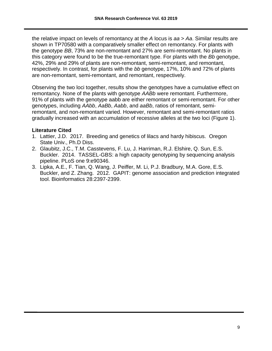the relative impact on levels of remontancy at the *A* locus is *aa* > *Aa*. Similar results are shown in TP70580 with a comparatively smaller effect on remontancy. For plants with the genotype *BB*, 73% are non-remontant and 27% are semi-remontant. No plants in this category were found to be the true-remontant type. For plants with the *Bb* genotype, 42%, 29% and 29% of plants are non-remontant, semi-remontant, and remontant, respectively. In contrast, for plants with the *bb* genotype, 17%, 10% and 72% of plants are non-remontant, semi-remontant, and remontant, respectively.

Observing the two loci together, results show the genotypes have a cumulative effect on remontancy. None of the plants with genotype *AABb* were remontant. Furthermore, 91% of plants with the genotype aabb are either remontant or semi-remontant. For other genotypes, including *AAbb*, *AaBb*, *Aabb*, and *aaBb*, ratios of remontant, semiremontant, and non-remontant varied. However, remontant and semi-remontant ratios gradually increased with an accumulation of recessive alleles at the two loci (Figure 1).

- 1. Lattier, J.D. 2017. Breeding and genetics of lilacs and hardy hibiscus. Oregon State Univ., Ph.D Diss.
- 2. Glaubitz, J.C., T.M. Casstevens, F. Lu, J. Harriman, R.J. Elshire, Q. Sun, E.S. Buckler. 2014. TASSEL-GBS: a high capacity genotyping by sequencing analysis pipeline. PLoS one 9:e90346.
- 3. Lipka, A.E., F. Tian, Q. Wang, J. Peiffer, M. Li, P.J. Bradbury, M.A. Gore, E.S. Buckler, and Z. Zhang. 2012. GAPIT: genome association and prediction integrated tool. Bioinformatics 28:2397-2399.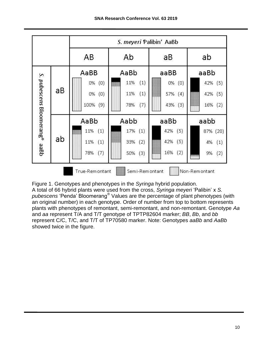

Figure 1. Genotypes and phenotypes in the *Syringa* hybrid population. A total of 66 hybrid plants were used from the cross, *Syringa meyeri* 'Palibin' x *S. pubescens* 'Penda' Bloomerang® Values are the percentage of plant phenotypes (with an original number) in each genotype. Order of number from top to bottom represents plants with phenotypes of remontant, semi-remontant, and non-remontant. Genotype *Aa* and *aa* represent T/A and T/T genotype of TPTP82604 marker; *BB*, *Bb*, and *bb* represent C/C, T/C, and T/T of TP70580 marker. Note: Genotypes *aaBb* and *AaBb* showed twice in the figure.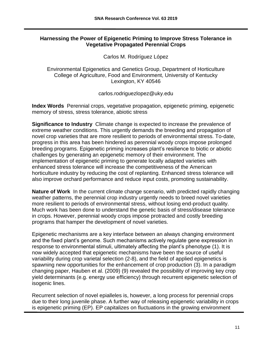#### **Harnessing the Power of Epigenetic Priming to Improve Stress Tolerance in Vegetative Propagated Perennial Crops**

Carlos M. Rodríguez López

Environmental Epigenetics and Genetics Group, Department of Horticulture College of Agriculture, Food and Environment, University of Kentucky Lexington, KY 40546

carlos.rodriguezlopez@uky.edu

**Index Words** Perennial crops, vegetative propagation, epigenetic priming, epigenetic memory of stress, stress tolerance, abiotic stress

**Significance to Industry** Climate change is expected to increase the prevalence of extreme weather conditions. This urgently demands the breeding and propagation of novel crop varieties that are more resilient to periods of environmental stress. To-date, progress in this area has been hindered as perennial woody crops impose prolonged breeding programs. Epigenetic priming increases plant's resilience to biotic or abiotic challenges by generating an epigenetic memory of their environment. The implementation of epigenetic priming to generate locally adapted varieties with enhanced stress tolerance will increase the competitiveness of the American horticulture industry by reducing the cost of replanting. Enhanced stress tolerance will also improve orchard performance and reduce input costs, promoting sustainability.

**Nature of Work** In the current climate change scenario, with predicted rapidly changing weather patterns, the perennial crop industry urgently needs to breed novel varieties more resilient to periods of environmental stress, without losing end-product quality. Much work has been done to understand the genetic basis of stress/disease tolerance in crops. However, perennial woody crops impose protracted and costly breeding programs that hamper the development of novel varieties.

Epigenetic mechanisms are a key interface between an always changing environment and the fixed plant's genome. Such mechanisms actively regulate gene expression in response to environmental stimuli, ultimately affecting the plant's phenotype (1). It is now widely accepted that epigenetic mechanisms have been the source of useful variability during crop varietal selection (2-8), and the field of applied epigenetics is spawning new opportunities for the enhancement of crop production (3). In a paradigm changing paper, Hauben et al. (2009) (9) revealed the possibility of improving key crop yield determinants (e.g. energy use efficiency) through recurrent epigenetic selection of isogenic lines.

Recurrent selection of novel epialleles is, however, a long process for perennial crops due to their long juvenile phase. A further way of releasing epigenetic variability in crops is epigenetic priming (EP). EP capitalizes on fluctuations in the growing environment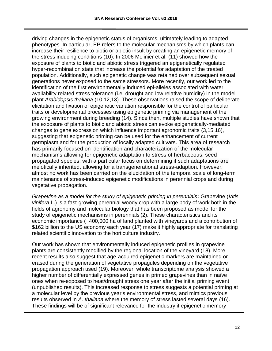driving changes in the epigenetic status of organisms, ultimately leading to adapted phenotypes. In particular, EP refers to the molecular mechanisms by which plants can increase their resilience to biotic or abiotic insult by creating an epigenetic memory of the stress inducing conditions (10). In 2006 Molinier et al. (11) showed how the exposure of plants to biotic and abiotic stress triggered an epigenetically regulated hyper-recombination state that increase the potential for adaptation of the treated population. Additionally, such epigenetic change was retained over subsequent sexual generations never exposed to the same stressors. More recently, our work led to the identification of the first environmentally induced epi-alleles associated with water availability related stress tolerance (i.e. drought and low relative humidity) in the model plant *Arabidopsis thaliana* (10,12,13). These observations raised the scope of deliberate elicitation and fixation of epigenetic variation responsible for the control of particular traits or developmental processes using epigenetic priming via management of the growing environment during breeding (14). Since then, multiple studies have shown that the exposure of plants to biotic and abiotic stress can evoke epigenetically-mediated changes to gene expression which influence important agronomic traits (3,15,16), suggesting that epigenetic priming can be used for the enhancement of current germplasm and for the production of locally adapted cultivars. This area of research has primarily focused on identification and characterization of the molecular mechanisms allowing for epigenetic adaptation to stress of herbaceous, seed propagated species, with a particular focus on determining if such adaptations are meiotically inherited, allowing for a transgenerational stress-adaption. However, almost no work has been carried on the elucidation of the temporal scale of long-term maintenance of stress-induced epigenetic modifications in perennial crops and during vegetative propagation.

*Grapevine as a model for the study of epigenetic priming in perennials***:** Grapevine (*Vitis vinifera* L.) is a fast-growing perennial woody crop with a large body of work both in the fields of agronomy and molecular biology that has been proposed as model for the study of epigenetic mechanisms in perennials (2). These characteristics and its economic importance (~400,000 ha of land planted with vineyards and a contribution of \$162 billion to the US economy each year (17) make it highly appropriate for translating related scientific innovation to the horticulture industry.

Our work has shown that environmentally induced epigenetic profiles in grapevine plants are consistently modified by the regional location of the vineyard (18). More recent results also suggest that age-acquired epigenetic markers are maintained or erased during the generation of vegetative propagules depending on the vegetative propagation approach used (19). Moreover, whole transcriptome analysis showed a higher number of differentially expressed genes in primed grapevines than in naïve ones when re-exposed to heat/drought stress one year after the initial priming event (unpublished results). This increased response to stress suggests a potential priming at a molecular level by the previous year's environmental stress, and mimics previous results observed in *A. thaliana* where the memory of stress lasted several days (16). These findings will be of significant relevance for the industry if epigenetic memory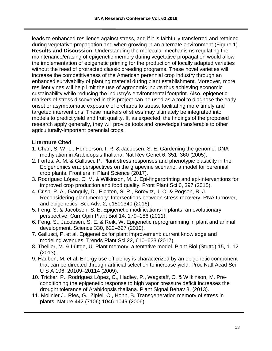leads to enhanced resilience against stress, and if it is faithfully transferred and retained during vegetative propagation and when growing in an alternate environment (Figure 1). **Results and Discussion** Understanding the molecular mechanisms regulating the maintenance/erasing of epigenetic memory during vegetative propagation would allow the implementation of epigenetic priming for the production of locally adapted varieties without the need of protracted classic breeding programs. These novel varieties will increase the competitiveness of the American perennial crop industry through an enhanced survivability of planting material during plant establishment. Moreover, more resilient vines will help limit the use of agronomic inputs thus achieving economic sustainability while reducing the industry's environmental footprint. Also, epigenetic markers of stress discovered in this project can be used as a tool to diagnose the early onset or asymptomatic exposure of orchards to stress, facilitating more timely and targeted interventions. These markers of stress may ultimately be integrated into models to predict yield and fruit quality. If, as expected, the findings of the proposed research apply generally, they will provide tools and knowledge transferable to other agriculturally-important perennial crops.

- 1. Chan, S. W.-L., Henderson, I. R. & Jacobsen, S. E. Gardening the genome: DNA methylation in Arabidopsis thaliana. Nat Rev Genet 6, 351–360 (2005).
- 2. Fortes, A. M. & Gallusci, P. Plant stress responses and phenotypic plasticity in the Epigenomics era: perspectives on the grapevine scenario, a model for perennial crop plants. Frontiers in Plant Science (2017).
- 3. Rodríguez López, C. M. & Wilkinson, M. J. Epi-fingerprinting and epi-interventions for improved crop production and food quality. Front Plant Sci 6, 397 (2015).
- 4. Crisp, P. A., Ganguly, D., Eichten, S. R., Borevitz, J. O. & Pogson, B. J. Reconsidering plant memory: Intersections between stress recovery, RNA turnover, and epigenetics. Sci. Adv. 2, e1501340 (2016).
- 5. Feng, S. & Jacobsen, S. E. Epigenetic modifications in plants: an evolutionary perspective. Curr Opin Plant Biol 14, 179–186 (2011).
- 6. Feng, S., Jacobsen, S. E. & Reik, W. Epigenetic reprogramming in plant and animal development. Science 330, 622–627 (2010).
- 7. Gallusci, P. et al. Epigenetics for plant improvement: current knowledge and modeling avenues. Trends Plant Sci 22, 610–623 (2017).
- 8. Thellier, M. & Lüttge, U. Plant memory: a tentative model. Plant Biol (Stuttg) 15, 1–12 (2013).
- 9. Hauben, M. et al. Energy use efficiency is characterized by an epigenetic component that can be directed through artificial selection to increase yield. Proc Natl Acad Sci U S A 106, 20109–20114 (2009).
- 10. Tricker, P., Rodríguez López, C., Hadley, P., Wagstaff, C. & Wilkinson, M. Preconditioning the epigenetic response to high vapor pressure deficit increases the drought tolerance of Arabidopsis thaliana. Plant Signal Behav 8, (2013).
- 11. Molinier J., Ries, G., Zipfel, C., Hohn, B. Transgeneration memory of stress in plants. Nature 442 (7106) 1046-1049 (2006).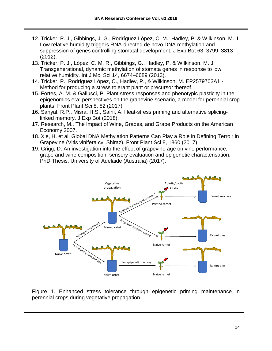- 12. Tricker, P. J., Gibbings, J. G., Rodríguez López, C. M., Hadley, P. & Wilkinson, M. J. Low relative humidity triggers RNA-directed de novo DNA methylation and suppression of genes controlling stomatal development. J Exp Bot 63, 3799–3813 (2012).
- 13. Tricker, P. J., López, C. M. R., Gibbings, G., Hadley, P. & Wilkinson, M. J. Transgenerational, dynamic methylation of stomata genes in response to low relative humidity. Int J Mol Sci 14, 6674–6689 (2013).
- 14. Tricker, P., Rodríguez López, C., Hadley, P., & Wilkinson, M. EP2579703A1 Method for producing a stress tolerant plant or precursor thereof.
- 15. Fortes, A. M. & Gallusci, P. Plant stress responses and phenotypic plasticity in the epigenomics era: perspectives on the grapevine scenario, a model for perennial crop plants. Front Plant Sci 8, 82 (2017).
- 16. Sanyal, R.P., Misra, H.S., Saini, A. Heat-stress priming and alternative splicinglinked memory. J [Exp](https://www.ncbi.nlm.nih.gov/pmc/articles/PMC5920290/) Bot (2018).
- 17. Research, M., The Impact of Wine, Grapes, and Grape Products on the American Economy 2007.
- 18. Xie, H. et al. Global DNA Methylation Patterns Can Play a Role in Defining Terroir in Grapevine (Vitis vinifera cv. Shiraz). Front Plant Sci 8, 1860 (2017).
- 19. Grigg, D. An investigation into the effect of grapevine age on vine performance, grape and wine composition, sensory evaluation and epigenetic characterisation. PhD Thesis, University of Adelaide (Australia) (2017).



Figure 1. Enhanced stress tolerance through epigenetic priming maintenance in perennial crops during vegetative propagation.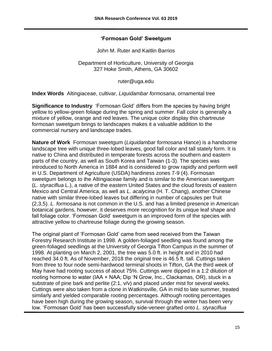#### **'Formosan Gold' Sweetgum**

John M. Ruter and Kaitlin Barrios

Department of Horticulture, University of Georgia 327 Hoke Smith, Athens, GA 30602

ruter@uga.edu

**Index Words** Altingiaceae, cultivar, *Liquidambar formosana*, ornamental tree

**Significance to Industry** 'Formosan Gold' differs from the species by having bright yellow to yellow-green foliage during the spring and summer. Fall color is generally a mixture of yellow, orange and red leaves. The unique color display this chartreuse formosan sweetgum brings to landscapes makes it a valuable addition to the commercial nursery and landscape trades.

**Nature of Work** Formosan sweetgum (*Liquidambar formosana* Hance) is a handsome landscape tree with unique three-lobed leaves, good fall color and tall stately form. It is native to China and distributed in temperate forests across the southern and eastern parts of the country, as well as South Korea and Taiwan (1-3). The species was introduced to North America in 1884 and is considered to grow rapidly and perform well in U.S. Department of Agriculture (USDA) hardiness zones 7-9 (4). Formosan sweetgum belongs to the Altingiaceae family and is similar to the American sweetgum (*L. styraciflua* L.), a native of the eastern United States and the cloud forests of eastern Mexico and Central America, as well as *L. acalycina* (H. T. Chang), another Chinese native with similar three-lobed leaves but differing in number of capsules per fruit (2,3,5). *L. formosana* is not common in the U.S. and has a limited presence in American botanical gardens, however, it deserves more recognition for its unique leaf shape and fall foliage color. 'Formosan Gold' sweetgum is an improved form of the species with attractive yellow to chartreuse foliage during the growing season.

The original plant of 'Formosan Gold' came from seed received from the Taiwan Forestry Research Institute in 1998. A golden-foliaged seedling was found among the green-foliaged seedlings at the University of Georgia Tifton Campus in the summer of 1998. At planting on March 2, 2001, the tree was 5.0 ft. in height and in 2010 had reached 34.0 ft. As of November, 2018 the original tree is 46.5 ft. tall. Cuttings taken from three to four node semi-hardwood terminal shoots in Tifton, GA the third week of May have had rooting success of about 75%. Cuttings were dipped in a 1:2 dilution of rooting hormone to water (IAA + NAA; Dip 'N Grow, Inc., Clackamas, OR), stuck in a substrate of pine bark and perlite (2:1, v/v) and placed under mist for several weeks. Cuttings were also taken from a clone in Watkinsville, GA in mid to late summer, treated similarly and yielded comparable rooting percentages. Although rooting percentages have been high during the growing season, survival through the winter has been very low. 'Formosan Gold' has been successfully side-veneer grafted onto *L. styraciflua*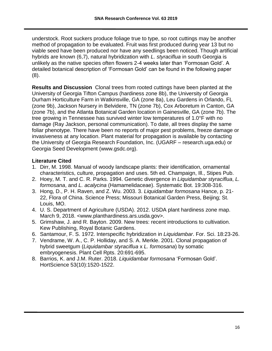understock. Root suckers produce foliage true to type, so root cuttings may be another method of propagation to be evaluated. Fruit was first produced during year 13 but no viable seed have been produced nor have any seedlings been noticed. Though artificial hybrids are known (6,7), natural hybridization with *L. styraciflua* in south Georgia is unlikely as the native species often flowers 2-4 weeks later than 'Formosan Gold'. A detailed botanical description of 'Formosan Gold' can be found in the following paper (8).

**Results and Discussion** Clonal trees from rooted cuttings have been planted at the University of Georgia Tifton Campus (hardiness zone 8b), the University of Georgia Durham Horticulture Farm in Watkinsville, GA (zone 8a), Leu Gardens in Orlando, FL (zone 9b), Jackson Nursery in Belvidere, TN (zone 7b), Cox Arboretum in Canton, GA (zone 7b), and the Atlanta Botanical Garden location in Gainesville, GA (zone 7b). The tree growing in Tennessee has survived winter low temperatures of 1.0°F with no damage (Ray Jackson, personal communication). To date, all trees display the same foliar phenotype. There have been no reports of major pest problems, freeze damage or invasiveness at any location. Plant material for propagation is available by contacting the University of Georgia Research Foundation, Inc. (UGARF – research.uga.edu) or Georgia Seed Development (www.gsdc.org).

- 1. Dirr, M. 1998. Manual of woody landscape plants: their identification, ornamental characteristics, culture, propagation and uses. 5th ed. Champaign, Ill., Stipes Pub.
- 2. Hoey, M. T. and C. R. Parks. 1994. Genetic divergence in *Liquidambar styraciflua*, *L. formosana*, and *L. acalycina* (Hamamelidaceae). Systematic Bot. 19:308-316.
- 3. Hong, D., P. H. Raven, and Z. Wu. 2003. 3. *Liquidambar formosana* Hance, p. 21- 22, Flora of China. Science Press; Missouri Botanical Garden Press, Beijing; St. Louis, MO.
- 4. U. S. Department of Agriculture (USDA). 2012. USDA plant hardiness zone map. March 9, 2018. <www.planthardiness.ars.usda.gov>.
- 5. Grimshaw, J. and R. Bayton. 2009. New trees: recent introductions to cultivation. Kew Publishing, Royal Botanic Gardens.
- 6. Santamour, F. S. 1972. Interspecific hybridization in *Liquidambar*. For. Sci. 18:23-26.
- 7. Vendrame, W. A., C. P. Holliday, and S. A. Merkle. 2001. Clonal propagation of hybrid sweetgum (*Liquidambar styraciflua* x *L. formosana*) by somatic embryogenesis. Plant Cell Rpts. 20:691-695.
- 8. Barrios, K. and J.M. Ruter. 2018. *Liquidambar formosana* 'Formosan Gold'. HortScience 53(10):1520-1522.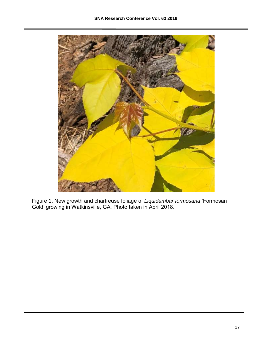

Figure 1. New growth and chartreuse foliage of *Liquidambar formosana* 'Formosan Gold' growing in Watkinsville, GA. Photo taken in April 2018.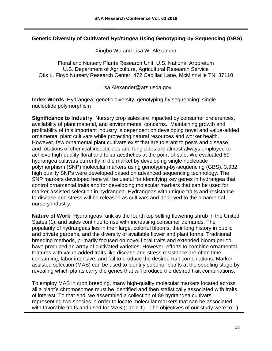## **Genetic Diversity of Cultivated** *Hydrangea* **Using Genotyping-by-Sequencing (GBS)**

Xingbo Wu and Lisa W. Alexander

Floral and Nursery Plants Research Unit, U.S. National Arboretum U.S. Department of Agriculture, Agricultural Research Service Otis L. Floyd Nursery Research Center, 472 Cadillac Lane, McMinnville TN 37110

Lisa.Alexander@ars.usda.gov

**Index Words** Hydrangea; genetic diversity; genotyping by sequencing; single nucleotide polymorphism

**Significance to Industry** Nursery crop sales are impacted by consumer preferences, availability of plant material, and environmental concerns. Maintaining growth and profitability of this important industry is dependent on developing novel and value-added ornamental plant cultivars while protecting natural resources and worker health. However, few ornamental plant cultivars exist that are tolerant to pests and disease, and rotations of chemical insecticides and fungicides are almost always employed to achieve high-quality floral and foliar aesthetics at the point-of-sale. We evaluated 89 hydrangea cultivars currently in the market by developing single nucleotide polymorphism (SNP) molecular markers using genotyping-by-sequencing (GBS). 3,932 high quality SNPs were developed based on advanced sequencing technology. The SNP markers developed here will be useful for identifying key genes in hydrangea that control ornamental traits and for developing molecular markers that can be used for marker-assisted selection in hydrangea. Hydrangeas with unique traits and resistance to disease and stress will be released as cultivars and deployed to the ornamental nursery industry.

**Nature of Work** Hydrangeas rank as the fourth top selling flowering shrub in the United States (1), and sales continue to rise with increasing consumer demands. The popularity of hydrangeas lies in their large, colorful blooms, their long history in public and private gardens, and the diversity of available flower and plant forms. Traditional breeding methods, primarily focused on novel floral traits and extended bloom period, have produced an array of cultivated varieties. However, efforts to combine ornamental features with value-added traits like disease and stress resistance are often time consuming, labor intensive, and fail to produce the desired trait combinations. Markerassisted selection (MAS) can be used to identify superior plants at the seedling stage by revealing which plants carry the genes that will produce the desired trait combinations.

To employ MAS in crop breeding, many high-quality molecular markers located across all a plant's chromosomes must be identified and then statistically associated with traits of interest. To that end, we assembled a collection of 89 hydrangea cultivars representing two species in order to locate molecular markers that can be associated with favorable traits and used for MAS (Table 1). The objectives of our study were to 1)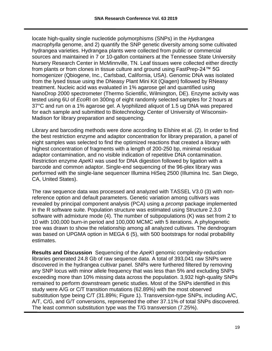locate high-quality single nucleotide polymorphisms (SNPs) in the *Hydrangea macrophylla* genome, and 2) quantify the SNP genetic diversity among some cultivated hydrangea varieties. Hydrangea plants were collected from public or commercial sources and maintained in 7 or 10-gallon containers at the Tennessee State University Nursery Research Center in McMinnville, TN. Leaf tissues were collected either directly from plants or from clones in tissue culture and ground using FastPrep-24™ 5G homogenizer (Qbiogene, Inc., Carlsbad, California, USA). Genomic DNA was isolated from the lysed tissue using the DNeasy Plant Mini Kit (Qiagen) followed by RNeasy treatment. Nucleic acid was evaluated in 1% agarose gel and quantified using NanoDrop 2000 spectrometer (Thermo Scientific, Wilmington, DE). Enzyme activity was tested using 6U of *Eco*RI on 300ng of eight randomly selected samples for 2 hours at 37°C and run on a 1% agarose gel. A lyophilized aliquot of 1.5 ug DNA was prepared for each sample and submitted to Biotechnology Center of University of Wisconsin-Madison for library preparation and sequencing.

Library and barcoding methods were done according to Elshire et al. (2). In order to find the best restriction enzyme and adaptor concentration for library preparation, a panel of eight samples was selected to find the optimized reactions that created a library with highest concentration of fragments with a length of 200-250 bp, minimal residual adaptor contamination, and no visible indication of repetitive DNA contamination. Restriction enzyme *Ape*KI was used for DNA digestion followed by ligation with a barcode and common adaptor. Single-end sequencing of the 96-plex library was performed with the single-lane sequencer Illumina HiSeq 2500 (Illumina Inc. San Diego, CA, United States).

The raw sequence data was processed and analyzed with TASSEL V3.0 (3) with nonreference option and default parameters. Genetic variation among cultivars was revealed by principal component analysis (PCA) using a *prcomp* package implemented in the R software suite. Population structure was estimated using Structure 2.3.0 software with admixture mode (4). The number of subpopulations (K) was set from 2 to 10 with 100,000 burn-in period and 100,000 MCMC with 5 iterations. A phylogenetic tree was drawn to show the relationship among all analyzed cultivars. The dendrogram was based on UPGMA option in MEGA 6 (5), with 500 bootstraps for nodal probability estimates.

**Results and Discussion** Sequencing of the *ApeK*I genomic complexity-reduction libraries generated 24.8 Gb of raw sequence data. A total of 393,041 raw SNPs were discovered in the hydrangea cultivar panel. SNPs were furthered filtered by removing any SNP locus with minor allele frequency that was less than 5% and excluding SNPs exceeding more than 10% missing data across the population. 3,932 high-quality SNPs remained to perform downstream genetic studies. Most of the SNPs identified in this study were A/G or C/T transition mutations (62.89%) with the most observed substitution type being C/T (31.89%; Figure 1). Transversion-type SNPs, including A/C, A/T, C/G, and G/T conversions, represented the other 37.11% of total SNPs discovered. The least common substitution type was the T/G transversion (7.25%).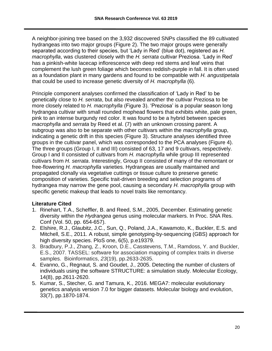A neighbor-joining tree based on the 3,932 discovered SNPs classified the 89 cultivated hydrangeas into two major groups (Figure 2). The two major groups were generally separated according to their species, but 'Lady in Red' (blue dot), registered as *H. macrophylla*, was clustered closely with the *H. serrata* cultivar Preziosa. 'Lady in Red' has a pinkish-white lacecap inflorescence with deep red stems and leaf veins that complement the lush green foliage which becomes reddish-purple in fall. It is often used as a foundation plant in many gardens and found to be compatible with *H. angustipetala*  that could be used to increase genetic diversity of *H. macrophylla* (6).

Principle component analyses confirmed the classification of 'Lady in Red' to be genetically close to *H. serrata*, but also revealed another the cultivar Preziosa to be more closely related to *H. macrophylla* (Figure 3). 'Preziosa' is a popular season long hydrangea cultivar with small rounded mophead flowers that exhibits white, pale green, pink to an intense burgundy red color. It was found to be a hybrid between species *macrophylla* and *serrata* by Reed et al. (7) with an unknown crossing parent. A subgroup was also to be separate with other cultivars within the *macrophylla* group, indicating a genetic drift in this species (Figure 3). Structure analyses identified three groups in the cultivar panel, which was corresponded to the PCA analyses (Figure 4). The three groups (Group I, II and III) consisted of 63, 17 and 9 cultivars, respectively. Group I and II consisted of cultivars from *H. macrophylla* while group III represented cultivars from *H. serrata*. Interestingly, Group II consisted of many of the remontant or free-flowering *H. macrophylla* varieties. Hydrangeas are usually maintained and propagated clonally via vegetative cuttings or tissue culture to preserve genetic composition of varieties. Specific trait-driven breeding and selection programs of hydrangea may narrow the gene pool, causing a secondary *H. macrophylla* group with specific genetic makeup that leads to novel traits like remontancy.

- 1. Rinehart, T.A., Scheffler, B. and Reed, S.M., 2005, December. Estimating genetic diversity within the *Hydrangea* genus using molecular markers. In Proc. SNA Res. Conf (Vol. 50, pp. 654-657).
- 2. Elshire, R.J., Glaubitz, J.C., Sun, Q., Poland, J.A., Kawamoto, K., Buckler, E.S. and Mitchell, S.E., 2011. A robust, simple genotyping-by-sequencing (GBS) approach for high diversity species. PloS one, 6(5), p.e19379.
- 3. Bradbury, P.J., Zhang, Z., Kroon, D.E., Casstevens, T.M., Ramdoss, Y. and Buckler, E.S., 2007. TASSEL: software for association mapping of complex traits in diverse samples. Bioinformatics, *23*(19), pp.2633-2635.
- 4. Evanno, G., Regnaut, S. and Goudet, J., 2005. Detecting the number of clusters of individuals using the software STRUCTURE: a simulation study. Molecular Ecology, 14(8), pp.2611-2620.
- 5. Kumar, S., Stecher, G. and Tamura, K., 2016. MEGA7: molecular evolutionary genetics analysis version 7.0 for bigger datasets. Molecular biology and evolution, 33(7), pp.1870-1874.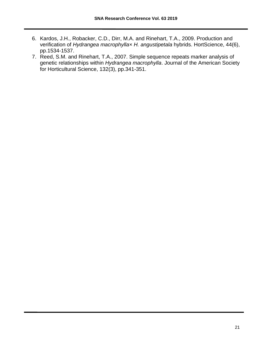- 6. Kardos, J.H., Robacker, C.D., Dirr, M.A. and Rinehart, T.A., 2009. Production and verification of *Hydrangea macrophylla*× *H. angustipetala* hybrids. HortScience, 44(6), pp.1534-1537.
- 7. Reed, S.M. and Rinehart, T.A., 2007. Simple sequence repeats marker analysis of genetic relationships within *Hydrangea macrophylla*. Journal of the American Society for Horticultural Science, 132(3), pp.341-351.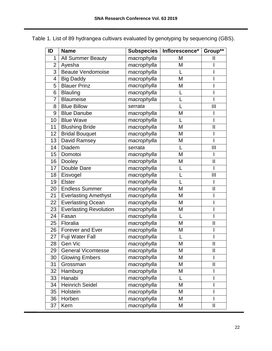| ID             | <b>Name</b>                   |             | Subspecies   Inflorescence* | Group**                 |
|----------------|-------------------------------|-------------|-----------------------------|-------------------------|
| 1              | All Summer Beauty             | macrophylla | M                           | II                      |
| $\overline{2}$ | Ayesha                        | macrophylla | M                           |                         |
| 3              | Beaute Vendomoise             | macrophylla | L                           |                         |
| 4              | <b>Big Daddy</b>              | macrophylla | M                           |                         |
| 5              | <b>Blauer Prinz</b>           | macrophylla | M                           |                         |
| 6              | <b>Blauling</b>               | macrophylla |                             |                         |
| 7              | <b>Blaumeise</b>              | macrophylla |                             |                         |
| 8              | <b>Blue Billow</b>            | serrata     |                             | Ш                       |
| 9              | <b>Blue Danube</b>            | macrophylla | M                           |                         |
| 10             | <b>Blue Wave</b>              | macrophylla | L                           |                         |
| 11             | <b>Blushing Bride</b>         | macrophylla | M                           | $\overline{\mathsf{I}}$ |
| 12             | <b>Bridal Bouquet</b>         | macrophylla | M                           |                         |
| 13             | David Ramsey                  | macrophylla | M                           |                         |
| 14             | Diadem                        | serrata     | L                           | III                     |
| 15             | Domotoi                       | macrophylla | M                           |                         |
| 16             | Dooley                        | macrophylla | M                           | $\mathsf{I}$            |
| 17             | Double Dare                   | macrophylla | L                           |                         |
| 18             | Eisvogel                      | macrophylla |                             | Ш                       |
| 19             | <b>Elster</b>                 | macrophylla |                             |                         |
| 20             | <b>Endless Summer</b>         | macrophylla | M                           | $\mathbf{I}$            |
| 21             | <b>Everlasting Amethyst</b>   | macrophylla | M                           |                         |
| 22             | <b>Everlasting Ocean</b>      | macrophylla | M                           |                         |
| 23             | <b>Everlasting Revolution</b> | macrophylla | M                           |                         |
| 24             | Fasan                         | macrophylla | L                           |                         |
| 25             | Floralia                      | macrophylla | M                           | $\mathsf{II}$           |
| 26             | <b>Forever and Ever</b>       | macrophylla | M                           |                         |
| 27             | Fuji Water Fall               | macrophylla |                             |                         |
| 28             | Gen Vic                       | macrophylla | M                           | II                      |
| 29             | <b>General Vicomtesse</b>     | macrophylla | M                           | $\overline{\mathsf{I}}$ |
| 30             | <b>Glowing Embers</b>         | macrophylla | M                           |                         |
| 31             | Grossman                      | macrophylla | M                           | II                      |
| 32             | Hamburg                       | macrophylla | M                           |                         |
| 33             | Hanabi                        | macrophylla | L                           |                         |
| 34             | <b>Heinrich Seidel</b>        | macrophylla | M                           | I                       |
| 35             | Holstein                      | macrophylla | M                           |                         |
| 36             | Horben                        | macrophylla | M                           |                         |
| 37             | Kern                          | macrophylla | M                           | Ш                       |

Table 1. List of 89 hydrangea cultivars evaluated by genotyping by sequencing (GBS).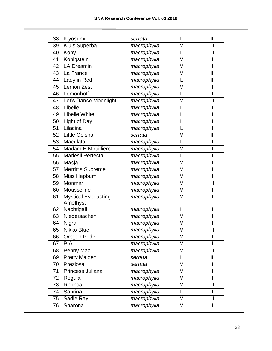| 38 | Kiyosumi                                | serrata     |   | $\mathbf{III}$ |
|----|-----------------------------------------|-------------|---|----------------|
| 39 | Kluis Superba                           | macrophylla | M | $\mathbf{I}$   |
| 40 | Koby                                    | macrophylla |   | $\mathbf{I}$   |
| 41 | Konigstein                              | macrophylla | M |                |
| 42 | <b>LA Dreamin</b>                       | macrophylla | M |                |
| 43 | La France                               | macrophylla | M | III            |
| 44 | Lady in Red                             | macrophylla |   | $\mathbf{III}$ |
| 45 | Lemon Zest                              | macrophylla | M |                |
| 46 | Lemonhoff                               | macrophylla |   |                |
| 47 | Let's Dance Moonlight                   | macrophylla | M | Ш              |
| 48 | Libelle                                 | macrophylla |   |                |
| 49 | <b>Libelle White</b>                    | macrophylla |   |                |
| 50 | Light of Day                            | macrophylla |   |                |
| 51 | Lilacina                                | macrophylla |   |                |
| 52 | Little Geisha                           | serrata     | M | III            |
| 53 | Maculata                                | macrophylla |   |                |
| 54 | Madam E Mouilliere                      | macrophylla | M |                |
| 55 | Mariesii Perfecta                       | macrophylla |   |                |
| 56 | Masja                                   | macrophylla | M |                |
| 57 | <b>Merritt's Supreme</b>                | macrophylla | M |                |
| 58 | Miss Hepburn                            | macrophylla | M |                |
| 59 | Monmar                                  | macrophylla | M | Ш              |
| 60 | Mousseline                              | macrophylla | M |                |
| 61 | <b>Mystical Everlasting</b><br>Amethyst | macrophylla | M |                |
| 62 | Nachtigall                              | macrophylla | L |                |
| 63 | Niedersachen                            | macrophylla | M |                |
| 64 | Nigra                                   | macrophylla | M |                |
| 65 | Nikko Blue                              | macrophylla | M | $\mathbf{I}$   |
| 66 | Oregon Pride                            | macrophylla | M |                |
| 67 | <b>PIA</b>                              | macrophylla | M |                |
| 68 | Penny Mac                               | macrophylla | M | $\mathbf{II}$  |
| 69 | <b>Pretty Maiden</b>                    | serrata     | L | $\mathbf{III}$ |
| 70 | Preziosa                                | serrata     | M |                |
| 71 | Princess Juliana                        | macrophylla | M |                |
| 72 | Regula                                  | macrophylla | M | I              |
| 73 | Rhonda                                  | macrophylla | M | $\mathsf{II}$  |
| 74 | Sabrina                                 | macrophylla |   |                |
| 75 | Sadie Ray                               | macrophylla | M | Ш              |
| 76 | Sharona                                 | macrophylla | M |                |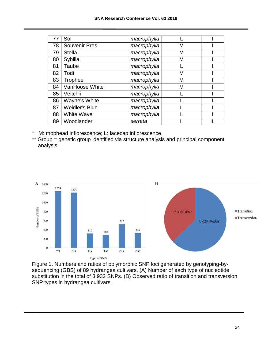| 77 | Sol                   | macrophylla |   |   |
|----|-----------------------|-------------|---|---|
| 78 | <b>Souvenir Pres</b>  | macrophylla | М |   |
| 79 | <b>Stella</b>         | macrophylla | M |   |
| 80 | Sybilla               | macrophylla | М |   |
| 81 | Taube                 | macrophylla |   |   |
| 82 | Todi                  | macrophylla | М |   |
| 83 | Trophee               | macrophylla | M |   |
| 84 | VanHoose White        | macrophylla | М |   |
| 85 | Veitchii              | macrophylla |   |   |
| 86 | Wayne's White         | macrophylla |   |   |
| 87 | <b>Weidler's Blue</b> | macrophylla |   |   |
| 88 | <b>White Wave</b>     | macrophylla |   |   |
| 89 | Woodlander            | serrata     |   | Ш |

- M: mophead inflorescence; L: lacecap inflorescence.
- \*\* Group = genetic group identified via structure analysis and principal component analysis.



Figure 1. Numbers and ratios of polymorphic SNP loci generated by genotyping-bysequencing (GBS) of 89 hydrangea cultivars. (A) Number of each type of nucleotide substitution in the total of 3,932 SNPs. (B) Observed ratio of transition and transversion SNP types in hydrangea cultivars.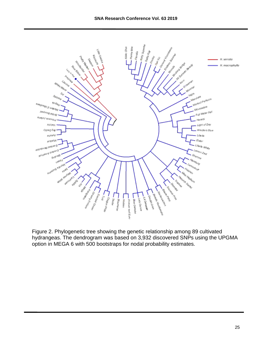

Figure 2. Phylogenetic tree showing the genetic relationship among 89 cultivated hydrangeas. The dendrogram was based on 3,932 discovered SNPs using the UPGMA option in MEGA 6 with 500 bootstraps for nodal probability estimates.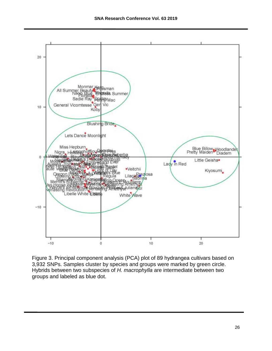

Figure 3. Principal component analysis (PCA) plot of 89 hydrangea cultivars based on 3,932 SNPs. Samples cluster by species and groups were marked by green circle. Hybrids between two subspecies of *H. macrophylla* are intermediate between two groups and labeled as blue dot.